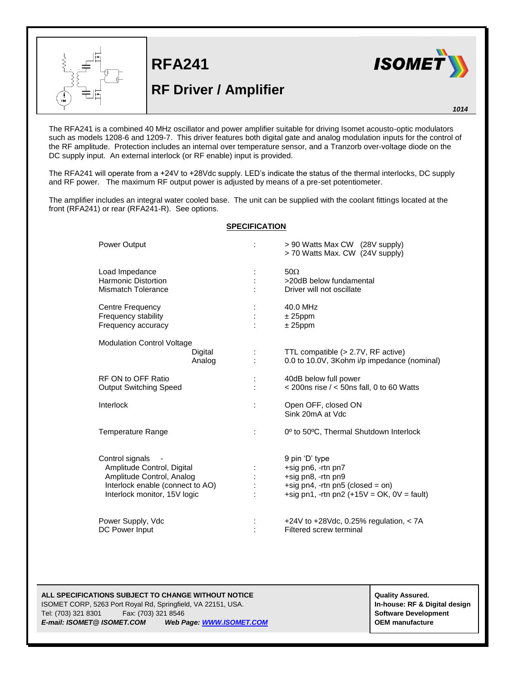

**RFA241 RF Driver / Amplifier**



*1014*

The RFA241 is a combined 40 MHz oscillator and power amplifier suitable for driving Isomet acousto-optic modulators such as models 1208-6 and 1209-7. This driver features both digital gate and analog modulation inputs for the control of the RF amplitude. Protection includes an internal over temperature sensor, and a Tranzorb over-voltage diode on the DC supply input. An external interlock (or RF enable) input is provided.

The RFA241 will operate from a +24V to +28Vdc supply. LED's indicate the status of the thermal interlocks, DC supply and RF power. The maximum RF output power is adjusted by means of a pre-set potentiometer.

The amplifier includes an integral water cooled base. The unit can be supplied with the coolant fittings located at the front (RFA241) or rear (RFA241-R). See options.

## **SPECIFICATION**

| Power Output                                                                                                                                   |   | > 90 Watts Max CW (28V supply)<br>> 70 Watts Max. CW (24V supply)                                                                              |
|------------------------------------------------------------------------------------------------------------------------------------------------|---|------------------------------------------------------------------------------------------------------------------------------------------------|
| Load Impedance<br><b>Harmonic Distortion</b><br>Mismatch Tolerance                                                                             |   | $50\Omega$<br>>20dB below fundamental<br>Driver will not oscillate                                                                             |
| Centre Frequency<br>Frequency stability<br>Frequency accuracy                                                                                  |   | 40.0 MHz<br>$± 25$ ppm<br>$± 25$ ppm                                                                                                           |
| <b>Modulation Control Voltage</b><br>Digital<br>Analog                                                                                         |   | TTL compatible (> 2.7V, RF active)<br>0.0 to 10.0V, 3Kohm i/p impedance (nominal)                                                              |
| RF ON to OFF Ratio<br><b>Output Switching Speed</b>                                                                                            |   | 40dB below full power<br>$<$ 200ns rise $/$ < 50ns fall, 0 to 60 Watts                                                                         |
| Interlock                                                                                                                                      | ÷ | Open OFF, closed ON<br>Sink 20mA at Vdc                                                                                                        |
| <b>Temperature Range</b>                                                                                                                       | ÷ | 0° to 50°C, Thermal Shutdown Interlock                                                                                                         |
| Control signals<br>Amplitude Control, Digital<br>Amplitude Control, Analog<br>Interlock enable (connect to AO)<br>Interlock monitor, 15V logic |   | 9 pin 'D' type<br>+sig pn6, -rtn pn7<br>+sig pn8, -rtn pn9<br>+sig pn4, -rtn pn5 (closed = on)<br>+sig pn1, -rtn pn2 $(+15V = OK, 0V = fault)$ |
| Power Supply, Vdc<br>DC Power Input                                                                                                            |   | +24V to +28Vdc, 0.25% regulation, $<$ 7A<br>Filtered screw terminal                                                                            |

## **ALL SPECIFICATIONS SUBJECT TO CHANGE WITHOUT NOTICE ALL SPECIFICATIONS SUBJECT TO CHANGE WITHOUT NOTICE**

ISOMET CORP, 5263 Port Royal Rd, Springfield, VA 22151, USA. **In-house: RF & Digital design** Tel: (703) 321 8301 Fax: (703) 321 8546 **Software Development** *E-mail: ISOMET@ ISOMET.COM Web Page[: WWW.ISOMET.COM](http://www.isomet.com/)* **OEM manufacture**